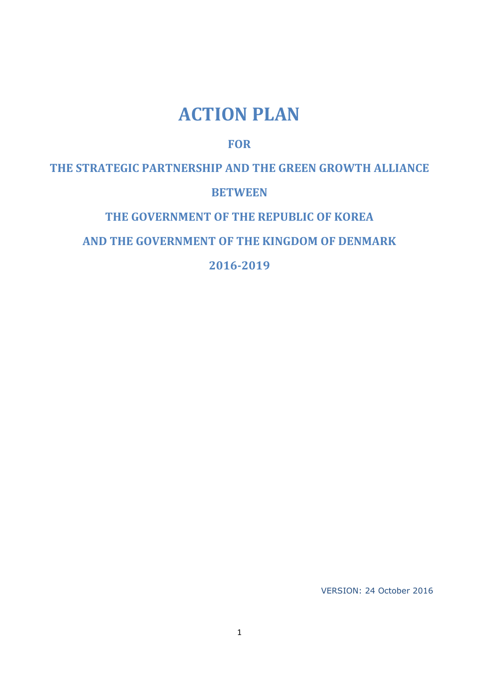# **ACTION PLAN**

# **FOR**

**THE STRATEGIC PARTNERSHIP AND THE GREEN GROWTH ALLIANCE**

# **BETWEEN**

# **THE GOVERNMENT OF THE REPUBLIC OF KOREA**

# **AND THE GOVERNMENT OF THE KINGDOM OF DENMARK**

# **2016-2019**

VERSION: 24 October 2016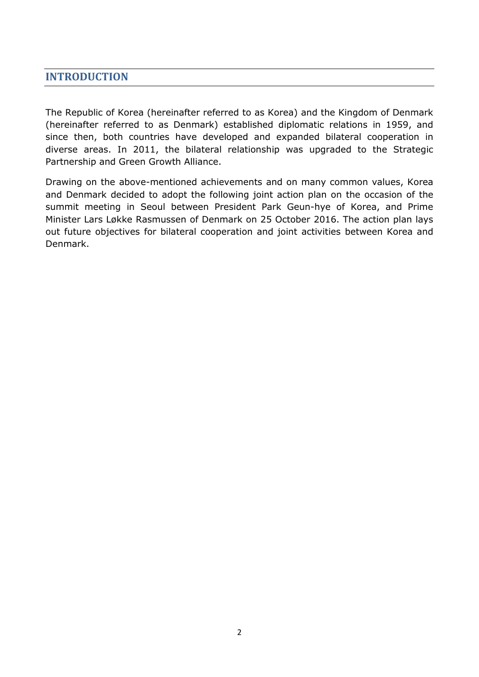# **INTRODUCTION**

The Republic of Korea (hereinafter referred to as Korea) and the Kingdom of Denmark (hereinafter referred to as Denmark) established diplomatic relations in 1959, and since then, both countries have developed and expanded bilateral cooperation in diverse areas. In 2011, the bilateral relationship was upgraded to the Strategic Partnership and Green Growth Alliance.

Drawing on the above-mentioned achievements and on many common values, Korea and Denmark decided to adopt the following joint action plan on the occasion of the summit meeting in Seoul between President Park Geun-hye of Korea, and Prime Minister Lars Løkke Rasmussen of Denmark on 25 October 2016. The action plan lays out future objectives for bilateral cooperation and joint activities between Korea and Denmark.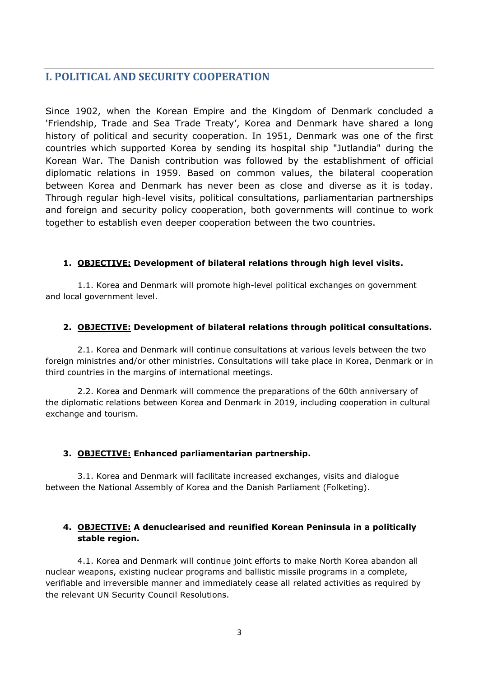# **I. POLITICAL AND SECURITY COOPERATION**

Since 1902, when the Korean Empire and the Kingdom of Denmark concluded a 'Friendship, Trade and Sea Trade Treaty', Korea and Denmark have shared a long history of political and security cooperation. In 1951, Denmark was one of the first countries which supported Korea by sending its hospital ship "Jutlandia" during the Korean War. The Danish contribution was followed by the establishment of official diplomatic relations in 1959. Based on common values, the bilateral cooperation between Korea and Denmark has never been as close and diverse as it is today. Through regular high-level visits, political consultations, parliamentarian partnerships and foreign and security policy cooperation, both governments will continue to work together to establish even deeper cooperation between the two countries.

### **1. OBJECTIVE: Development of bilateral relations through high level visits.**

1.1. Korea and Denmark will promote high-level political exchanges on government and local government level.

# **2. OBJECTIVE: Development of bilateral relations through political consultations.**

2.1. Korea and Denmark will continue consultations at various levels between the two foreign ministries and/or other ministries. Consultations will take place in Korea, Denmark or in third countries in the margins of international meetings.

2.2. Korea and Denmark will commence the preparations of the 60th anniversary of the diplomatic relations between Korea and Denmark in 2019, including cooperation in cultural exchange and tourism.

# **3. OBJECTIVE: Enhanced parliamentarian partnership.**

3.1. Korea and Denmark will facilitate increased exchanges, visits and dialogue between the National Assembly of Korea and the Danish Parliament (Folketing).

# **4. OBJECTIVE: A denuclearised and reunified Korean Peninsula in a politically stable region.**

4.1. Korea and Denmark will continue joint efforts to make North Korea abandon all nuclear weapons, existing nuclear programs and ballistic missile programs in a complete, verifiable and irreversible manner and immediately cease all related activities as required by the relevant UN Security Council Resolutions.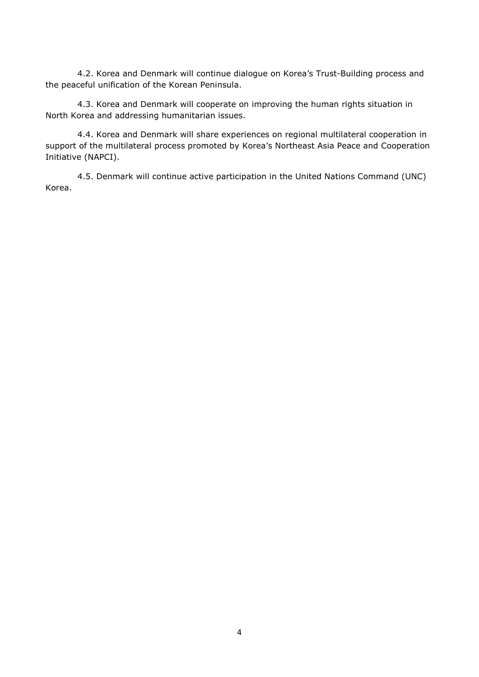4.2. Korea and Denmark will continue dialogue on Korea's Trust-Building process and the peaceful unification of the Korean Peninsula.

4.3. Korea and Denmark will cooperate on improving the human rights situation in North Korea and addressing humanitarian issues.

4.4. Korea and Denmark will share experiences on regional multilateral cooperation in support of the multilateral process promoted by Korea's Northeast Asia Peace and Cooperation Initiative (NAPCI).

4.5. Denmark will continue active participation in the United Nations Command (UNC) Korea.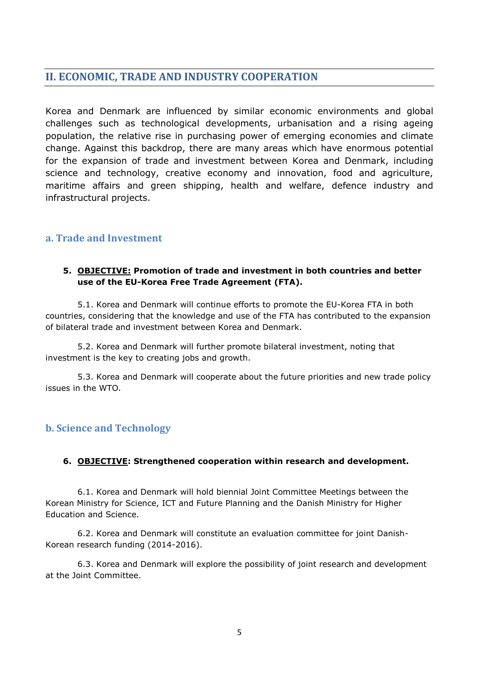# **II. ECONOMIC, TRADE AND INDUSTRY COOPERATION**

Korea and Denmark are influenced by similar economic environments and global challenges such as technological developments, urbanisation and a rising ageing population, the relative rise in purchasing power of emerging economies and climate change. Against this backdrop, there are many areas which have enormous potential for the expansion of trade and investment between Korea and Denmark, including science and technology, creative economy and innovation, food and agriculture, maritime affairs and green shipping, health and welfare, defence industry and infrastructural projects.

# **a. Trade and Investment**

### **5. OBJECTIVE: Promotion of trade and investment in both countries and better use of the EU-Korea Free Trade Agreement (FTA).**

5.1. Korea and Denmark will continue efforts to promote the EU-Korea FTA in both countries, considering that the knowledge and use of the FTA has contributed to the expansion of bilateral trade and investment between Korea and Denmark.

5.2. Korea and Denmark will further promote bilateral investment, noting that investment is the key to creating jobs and growth.

5.3. Korea and Denmark will cooperate about the future priorities and new trade policy issues in the WTO.

# **b. Science and Technology**

# **6. OBJECTIVE: Strengthened cooperation within research and development.**

6.1. Korea and Denmark will hold biennial Joint Committee Meetings between the Korean Ministry for Science, ICT and Future Planning and the Danish Ministry for Higher Education and Science.

6.2. Korea and Denmark will constitute an evaluation committee for joint Danish-Korean research funding (2014-2016).

6.3. Korea and Denmark will explore the possibility of joint research and development at the Joint Committee.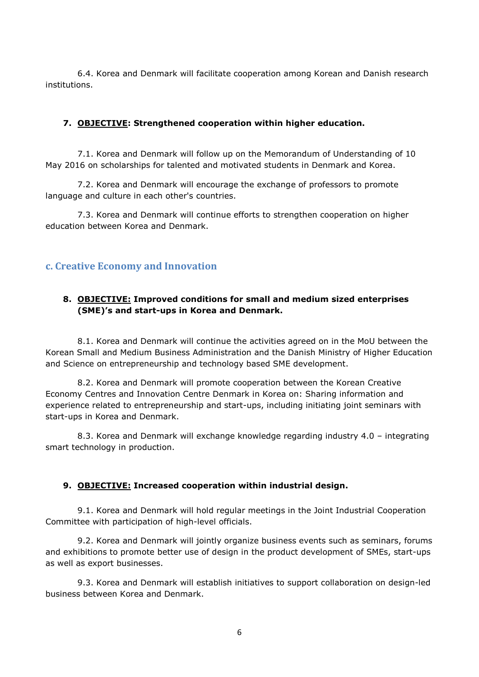6.4. Korea and Denmark will facilitate cooperation among Korean and Danish research institutions.

### **7. OBJECTIVE: Strengthened cooperation within higher education.**

7.1. Korea and Denmark will follow up on the Memorandum of Understanding of 10 May 2016 on scholarships for talented and motivated students in Denmark and Korea.

7.2. Korea and Denmark will encourage the exchange of professors to promote language and culture in each other's countries.

7.3. Korea and Denmark will continue efforts to strengthen cooperation on higher education between Korea and Denmark.

# **c. Creative Economy and Innovation**

# **8. OBJECTIVE: Improved conditions for small and medium sized enterprises (SME)'s and start-ups in Korea and Denmark.**

8.1. Korea and Denmark will continue the activities agreed on in the MoU between the Korean Small and Medium Business Administration and the Danish Ministry of Higher Education and Science on entrepreneurship and technology based SME development.

8.2. Korea and Denmark will promote cooperation between the Korean Creative Economy Centres and Innovation Centre Denmark in Korea on: Sharing information and experience related to entrepreneurship and start-ups, including initiating joint seminars with start-ups in Korea and Denmark.

8.3. Korea and Denmark will exchange knowledge regarding industry 4.0 – integrating smart technology in production.

#### **9. OBJECTIVE: Increased cooperation within industrial design.**

9.1. Korea and Denmark will hold regular meetings in the Joint Industrial Cooperation Committee with participation of high-level officials.

9.2. Korea and Denmark will jointly organize business events such as seminars, forums and exhibitions to promote better use of design in the product development of SMEs, start-ups as well as export businesses.

9.3. Korea and Denmark will establish initiatives to support collaboration on design-led business between Korea and Denmark.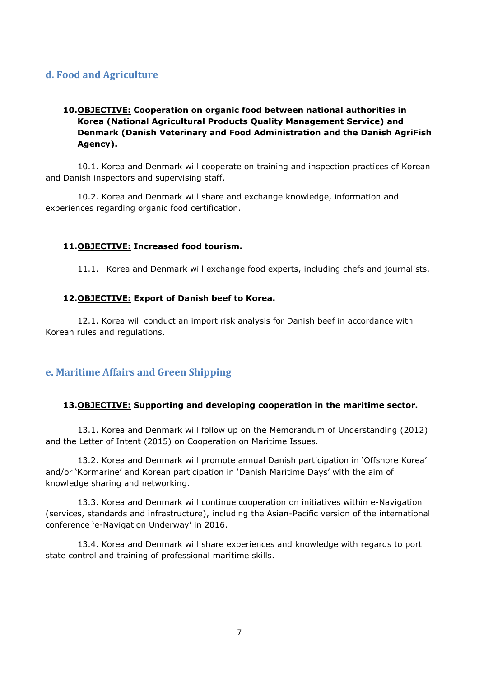# **d. Food and Agriculture**

# **10.OBJECTIVE: Cooperation on organic food between national authorities in Korea (National Agricultural Products Quality Management Service) and Denmark (Danish Veterinary and Food Administration and the Danish AgriFish Agency).**

10.1. Korea and Denmark will cooperate on training and inspection practices of Korean and Danish inspectors and supervising staff.

10.2. Korea and Denmark will share and exchange knowledge, information and experiences regarding organic food certification.

#### **11.OBJECTIVE: Increased food tourism.**

11.1. Korea and Denmark will exchange food experts, including chefs and journalists.

#### **12.OBJECTIVE: Export of Danish beef to Korea.**

12.1. Korea will conduct an import risk analysis for Danish beef in accordance with Korean rules and regulations.

# **e. Maritime Affairs and Green Shipping**

#### **13.OBJECTIVE: Supporting and developing cooperation in the maritime sector.**

13.1. Korea and Denmark will follow up on the Memorandum of Understanding (2012) and the Letter of Intent (2015) on Cooperation on Maritime Issues.

13.2. Korea and Denmark will promote annual Danish participation in 'Offshore Korea' and/or 'Kormarine' and Korean participation in 'Danish Maritime Days' with the aim of knowledge sharing and networking.

13.3. Korea and Denmark will continue cooperation on initiatives within e-Navigation (services, standards and infrastructure), including the Asian-Pacific version of the international conference 'e-Navigation Underway' in 2016.

13.4. Korea and Denmark will share experiences and knowledge with regards to port state control and training of professional maritime skills.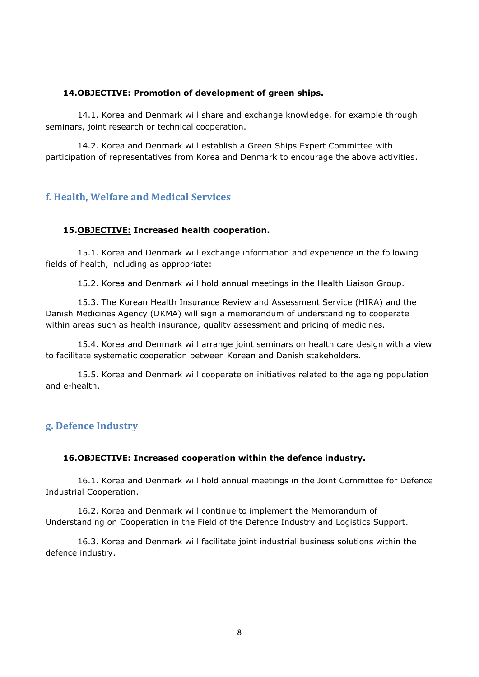#### **14.OBJECTIVE: Promotion of development of green ships.**

14.1. Korea and Denmark will share and exchange knowledge, for example through seminars, joint research or technical cooperation.

14.2. Korea and Denmark will establish a Green Ships Expert Committee with participation of representatives from Korea and Denmark to encourage the above activities.

### **f. Health, Welfare and Medical Services**

#### **15.OBJECTIVE: Increased health cooperation.**

15.1. Korea and Denmark will exchange information and experience in the following fields of health, including as appropriate:

15.2. Korea and Denmark will hold annual meetings in the Health Liaison Group.

15.3. The Korean Health Insurance Review and Assessment Service (HIRA) and the Danish Medicines Agency (DKMA) will sign a memorandum of understanding to cooperate within areas such as health insurance, quality assessment and pricing of medicines.

15.4. Korea and Denmark will arrange joint seminars on health care design with a view to facilitate systematic cooperation between Korean and Danish stakeholders.

15.5. Korea and Denmark will cooperate on initiatives related to the ageing population and e-health.

# **g. Defence Industry**

#### **16.OBJECTIVE: Increased cooperation within the defence industry.**

16.1. Korea and Denmark will hold annual meetings in the Joint Committee for Defence Industrial Cooperation.

16.2. Korea and Denmark will continue to implement the Memorandum of Understanding on Cooperation in the Field of the Defence Industry and Logistics Support.

16.3. Korea and Denmark will facilitate joint industrial business solutions within the defence industry.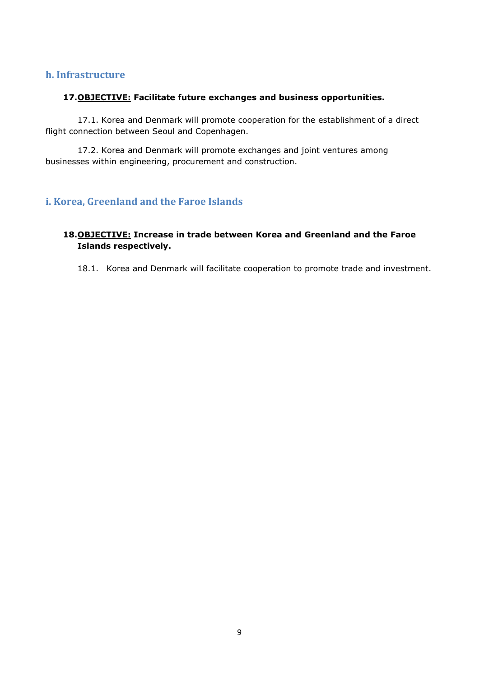### **h. Infrastructure**

#### **17.OBJECTIVE: Facilitate future exchanges and business opportunities.**

17.1. Korea and Denmark will promote cooperation for the establishment of a direct flight connection between Seoul and Copenhagen.

17.2. Korea and Denmark will promote exchanges and joint ventures among businesses within engineering, procurement and construction.

# **i. Korea, Greenland and the Faroe Islands**

### **18.OBJECTIVE: Increase in trade between Korea and Greenland and the Faroe Islands respectively.**

18.1. Korea and Denmark will facilitate cooperation to promote trade and investment.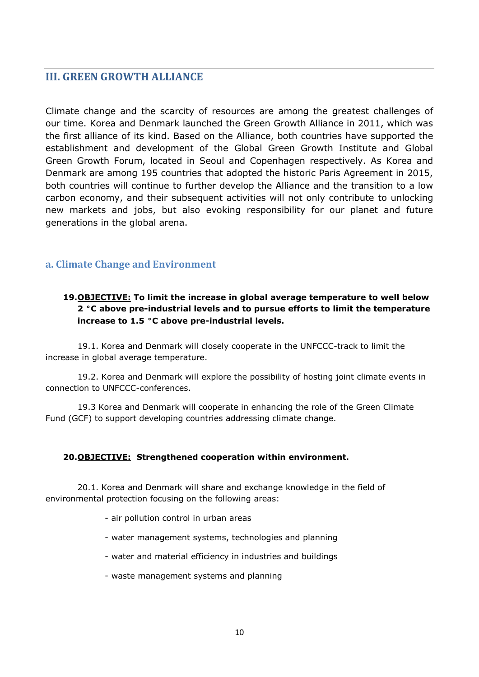# **III. GREEN GROWTH ALLIANCE**

Climate change and the scarcity of resources are among the greatest challenges of our time. Korea and Denmark launched the Green Growth Alliance in 2011, which was the first alliance of its kind. Based on the Alliance, both countries have supported the establishment and development of the Global Green Growth Institute and Global Green Growth Forum, located in Seoul and Copenhagen respectively. As Korea and Denmark are among 195 countries that adopted the historic Paris Agreement in 2015, both countries will continue to further develop the Alliance and the transition to a low carbon economy, and their subsequent activities will not only contribute to unlocking new markets and jobs, but also evoking responsibility for our planet and future generations in the global arena.

# **a. Climate Change and Environment**

# **19.OBJECTIVE: To limit the increase in global average temperature to well below 2 °C above pre-industrial levels and to pursue efforts to limit the temperature increase to 1.5 °C above pre-industrial levels.**

19.1. Korea and Denmark will closely cooperate in the UNFCCC-track to limit the increase in global average temperature.

19.2. Korea and Denmark will explore the possibility of hosting joint climate events in connection to UNFCCC-conferences.

19.3 Korea and Denmark will cooperate in enhancing the role of the Green Climate Fund (GCF) to support developing countries addressing climate change.

#### **20.OBJECTIVE: Strengthened cooperation within environment.**

20.1. Korea and Denmark will share and exchange knowledge in the field of environmental protection focusing on the following areas:

- air pollution control in urban areas

- water management systems, technologies and planning
- water and material efficiency in industries and buildings
- waste management systems and planning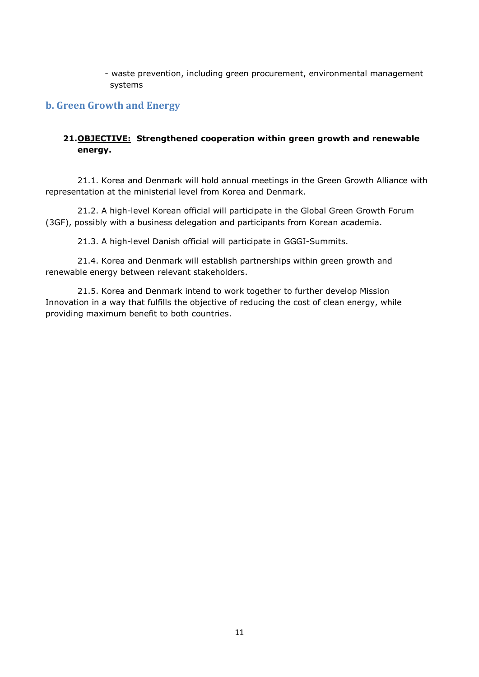- waste prevention, including green procurement, environmental management systems

# **b. Green Growth and Energy**

### **21.OBJECTIVE: Strengthened cooperation within green growth and renewable energy.**

21.1. Korea and Denmark will hold annual meetings in the Green Growth Alliance with representation at the ministerial level from Korea and Denmark.

21.2. A high-level Korean official will participate in the Global Green Growth Forum (3GF), possibly with a business delegation and participants from Korean academia.

21.3. A high-level Danish official will participate in GGGI-Summits.

21.4. Korea and Denmark will establish partnerships within green growth and renewable energy between relevant stakeholders.

21.5. Korea and Denmark intend to work together to further develop Mission Innovation in a way that fulfills the objective of reducing the cost of clean energy, while providing maximum benefit to both countries.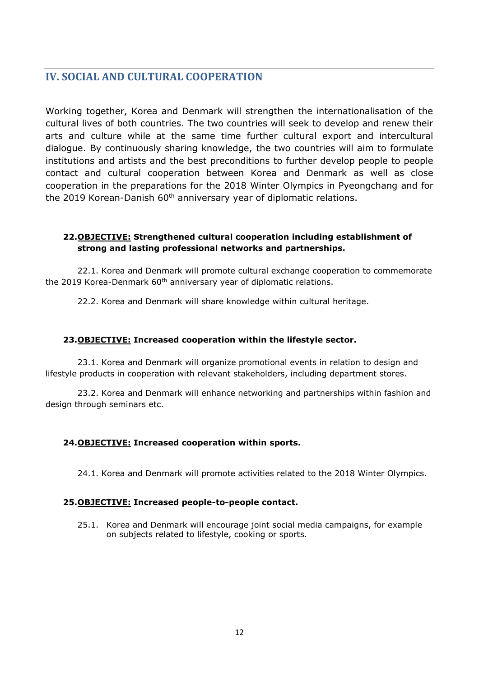# **IV. SOCIAL AND CULTURAL COOPERATION**

Working together, Korea and Denmark will strengthen the internationalisation of the cultural lives of both countries. The two countries will seek to develop and renew their arts and culture while at the same time further cultural export and intercultural dialogue. By continuously sharing knowledge, the two countries will aim to formulate institutions and artists and the best preconditions to further develop people to people contact and cultural cooperation between Korea and Denmark as well as close cooperation in the preparations for the 2018 Winter Olympics in Pyeongchang and for the 2019 Korean-Danish 60<sup>th</sup> anniversary year of diplomatic relations.

### **22.OBJECTIVE: Strengthened cultural cooperation including establishment of strong and lasting professional networks and partnerships.**

22.1. Korea and Denmark will promote cultural exchange cooperation to commemorate the 2019 Korea-Denmark 60<sup>th</sup> anniversary year of diplomatic relations.

22.2. Korea and Denmark will share knowledge within cultural heritage.

#### **23.OBJECTIVE: Increased cooperation within the lifestyle sector.**

23.1. Korea and Denmark will organize promotional events in relation to design and lifestyle products in cooperation with relevant stakeholders, including department stores.

23.2. Korea and Denmark will enhance networking and partnerships within fashion and design through seminars etc.

#### **24.OBJECTIVE: Increased cooperation within sports.**

24.1. Korea and Denmark will promote activities related to the 2018 Winter Olympics.

#### **25.OBJECTIVE: Increased people-to-people contact.**

25.1. Korea and Denmark will encourage joint social media campaigns, for example on subjects related to lifestyle, cooking or sports.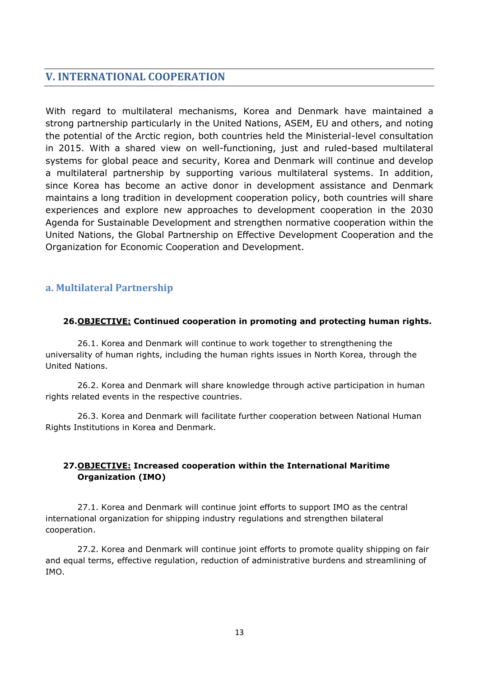# **V. INTERNATIONAL COOPERATION**

With regard to multilateral mechanisms, Korea and Denmark have maintained a strong partnership particularly in the United Nations, ASEM, EU and others, and noting the potential of the Arctic region, both countries held the Ministerial-level consultation in 2015. With a shared view on well-functioning, just and ruled-based multilateral systems for global peace and security, Korea and Denmark will continue and develop a multilateral partnership by supporting various multilateral systems. In addition, since Korea has become an active donor in development assistance and Denmark maintains a long tradition in development cooperation policy, both countries will share experiences and explore new approaches to development cooperation in the 2030 Agenda for Sustainable Development and strengthen normative cooperation within the United Nations, the Global Partnership on Effective Development Cooperation and the Organization for Economic Cooperation and Development.

# **a. Multilateral Partnership**

### **26.OBJECTIVE: Continued cooperation in promoting and protecting human rights.**

26.1. Korea and Denmark will continue to work together to strengthening the universality of human rights, including the human rights issues in North Korea, through the United Nations.

26.2. Korea and Denmark will share knowledge through active participation in human rights related events in the respective countries.

26.3. Korea and Denmark will facilitate further cooperation between National Human Rights Institutions in Korea and Denmark.

# **27.OBJECTIVE: Increased cooperation within the International Maritime Organization (IMO)**

27.1. Korea and Denmark will continue joint efforts to support IMO as the central international organization for shipping industry regulations and strengthen bilateral cooperation.

27.2. Korea and Denmark will continue joint efforts to promote quality shipping on fair and equal terms, effective regulation, reduction of administrative burdens and streamlining of IMO.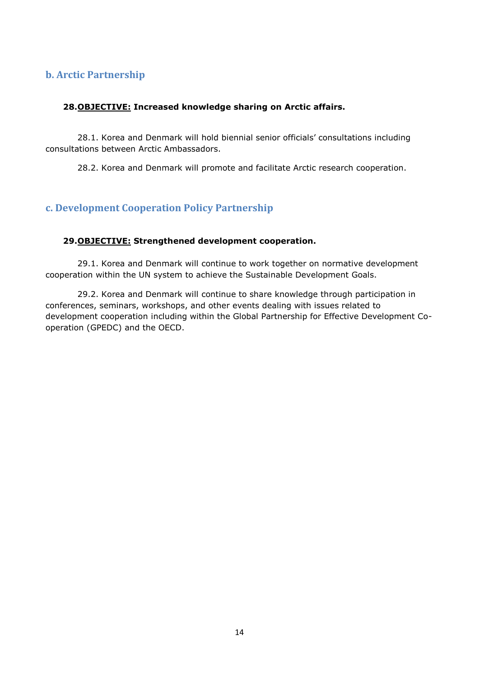# **b. Arctic Partnership**

#### **28.OBJECTIVE: Increased knowledge sharing on Arctic affairs.**

28.1. Korea and Denmark will hold biennial senior officials' consultations including consultations between Arctic Ambassadors.

28.2. Korea and Denmark will promote and facilitate Arctic research cooperation.

# **c. Development Cooperation Policy Partnership**

#### **29.OBJECTIVE: Strengthened development cooperation.**

29.1. Korea and Denmark will continue to work together on normative development cooperation within the UN system to achieve the Sustainable Development Goals.

29.2. Korea and Denmark will continue to share knowledge through participation in conferences, seminars, workshops, and other events dealing with issues related to development cooperation including within the Global Partnership for Effective Development Cooperation (GPEDC) and the OECD.